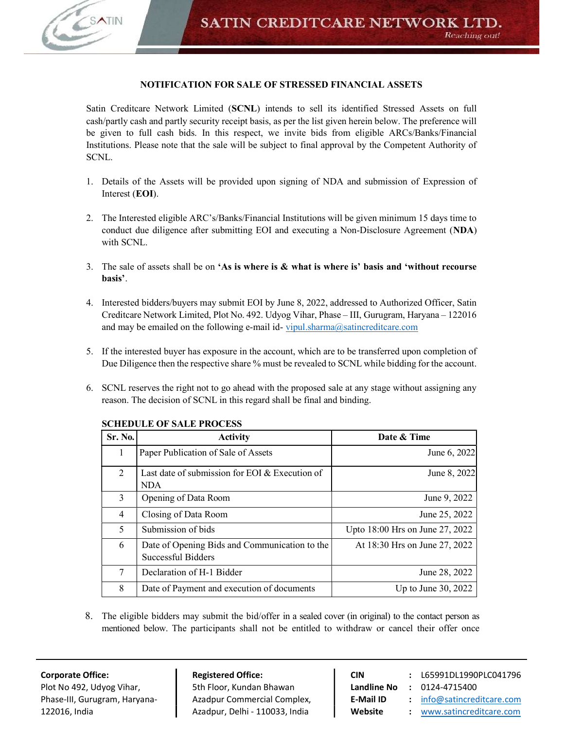

# NOTIFICATION FOR SALE OF STRESSED FINANCIAL ASSETS

Satin Creditcare Network Limited (SCNL) intends to sell its identified Stressed Assets on full cash/partly cash and partly security receipt basis, as per the list given herein below. The preference will be given to full cash bids. In this respect, we invite bids from eligible ARCs/Banks/Financial Institutions. Please note that the sale will be subject to final approval by the Competent Authority of SCNL.

- 1. Details of the Assets will be provided upon signing of NDA and submission of Expression of Interest (EOI).
- 2. The Interested eligible ARC's/Banks/Financial Institutions will be given minimum 15 days time to conduct due diligence after submitting EOI and executing a Non-Disclosure Agreement (NDA) with SCNL.
- 3. The sale of assets shall be on 'As is where is & what is where is' basis and 'without recourse basis'.
- 4. Interested bidders/buyers may submit EOI by June 8, 2022, addressed to Authorized Officer, Satin Creditcare Network Limited, Plot No. 492. Udyog Vihar, Phase – III, Gurugram, Haryana – 122016 and may be emailed on the following e-mail id- vipul.sharma@satincreditcare.com
- 5. If the interested buyer has exposure in the account, which are to be transferred upon completion of Due Diligence then the respective share % must be revealed to SCNL while bidding for the account.
- 6. SCNL reserves the right not to go ahead with the proposed sale at any stage without assigning any reason. The decision of SCNL in this regard shall be final and binding.

| Sr. No.        | <b>Activity</b>                                                     | Date & Time                     |
|----------------|---------------------------------------------------------------------|---------------------------------|
| 1              | Paper Publication of Sale of Assets                                 | June 6, 2022                    |
| $\overline{2}$ | Last date of submission for EOI $&$ Execution of<br><b>NDA</b>      | June 8, 2022                    |
| 3              | Opening of Data Room                                                | June 9, 2022                    |
| 4              | Closing of Data Room                                                | June 25, 2022                   |
| 5              | Submission of bids                                                  | Upto 18:00 Hrs on June 27, 2022 |
| 6              | Date of Opening Bids and Communication to the<br>Successful Bidders | At 18:30 Hrs on June 27, 2022   |
| 7              | Declaration of H-1 Bidder                                           | June 28, 2022                   |
| 8              | Date of Payment and execution of documents                          | Up to June $30, 2022$           |

## SCHEDULE OF SALE PROCESS

8. The eligible bidders may submit the bid/offer in a sealed cover (in original) to the contact person as mentioned below. The participants shall not be entitled to withdraw or cancel their offer once

Plot No 492, Udyog Vihar, **Fight Heat** Sth Floor, Kundan Bhawan **Landline No : 0124-4715400** Phase-III, Gurugram, Haryana- | Azadpur Commercial Complex, | E-Mail ID : info@satincreditcare.com 122016, India **Azadpur, Delhi - 110033, India Website :** www.satincreditcare.com

Corporate Office: The Registered Office: CIN CIN : L65991DL1990PLC041796